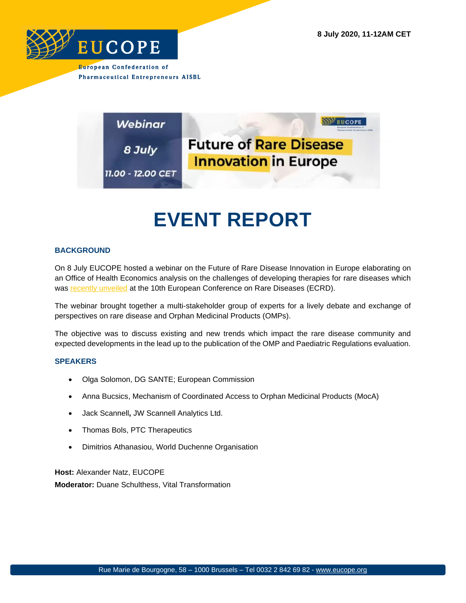



## **EVENT REPORT**

## **BACKGROUND**

On 8 July EUCOPE hosted a webinar on the Future of Rare Disease Innovation in Europe elaborating on an Office of Health Economics analysis on the challenges of developing therapies for rare diseases which was [recently unveiled](https://eucope.us10.list-manage.com/track/click?u=740b4fd348bc8b166e336900a&id=dd1b29ee3a&e=ffcf5d6502) at the 10th European Conference on Rare Diseases (ECRD).

The webinar brought together a multi-stakeholder group of experts for a lively debate and exchange of perspectives on rare disease and Orphan Medicinal Products (OMPs).

The objective was to discuss existing and new trends which impact the rare disease community and expected developments in the lead up to the publication of the OMP and Paediatric Regulations evaluation.

## **SPEAKERS**

- Olga Solomon, DG SANTE; European Commission
- Anna Bucsics, Mechanism of Coordinated Access to Orphan Medicinal Products (MocA)
- Jack Scannell**,** JW Scannell Analytics Ltd.
- Thomas Bols, PTC Therapeutics
- Dimitrios Athanasiou, World Duchenne Organisation

**Host:** Alexander Natz, EUCOPE **Moderator:** Duane Schulthess, Vital Transformation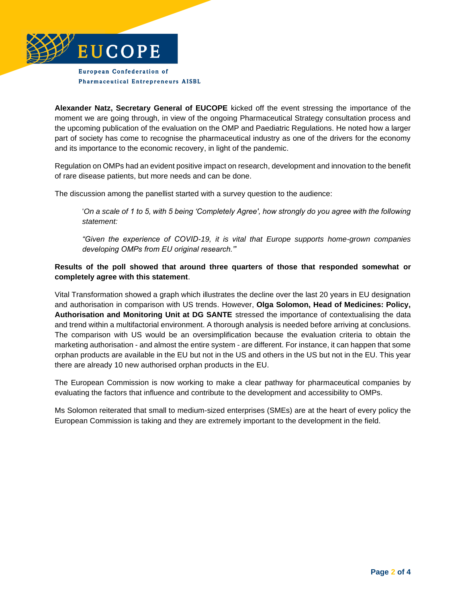

**Alexander Natz, Secretary General of EUCOPE** kicked off the event stressing the importance of the moment we are going through, in view of the ongoing Pharmaceutical Strategy consultation process and the upcoming publication of the evaluation on the OMP and Paediatric Regulations. He noted how a larger part of society has come to recognise the pharmaceutical industry as one of the drivers for the economy and its importance to the economic recovery, in light of the pandemic.

Regulation on OMPs had an evident positive impact on research, development and innovation to the benefit of rare disease patients, but more needs and can be done.

The discussion among the panellist started with a survey question to the audience:

'*On a scale of 1 to 5, with 5 being 'Completely Agree', how strongly do you agree with the following statement:* 

*"Given the experience of COVID-19, it is vital that Europe supports home-grown companies developing OMPs from EU original research."*'

## **Results of the poll showed that around three quarters of those that responded somewhat or completely agree with this statement**.

Vital Transformation showed a graph which illustrates the decline over the last 20 years in EU designation and authorisation in comparison with US trends. However, **Olga Solomon, Head of Medicines: Policy, Authorisation and Monitoring Unit at DG SANTE** stressed the importance of contextualising the data and trend within a multifactorial environment. A thorough analysis is needed before arriving at conclusions. The comparison with US would be an oversimplification because the evaluation criteria to obtain the marketing authorisation - and almost the entire system - are different. For instance, it can happen that some orphan products are available in the EU but not in the US and others in the US but not in the EU. This year there are already 10 new authorised orphan products in the EU.

The European Commission is now working to make a clear pathway for pharmaceutical companies by evaluating the factors that influence and contribute to the development and accessibility to OMPs.

Ms Solomon reiterated that small to medium-sized enterprises (SMEs) are at the heart of every policy the European Commission is taking and they are extremely important to the development in the field.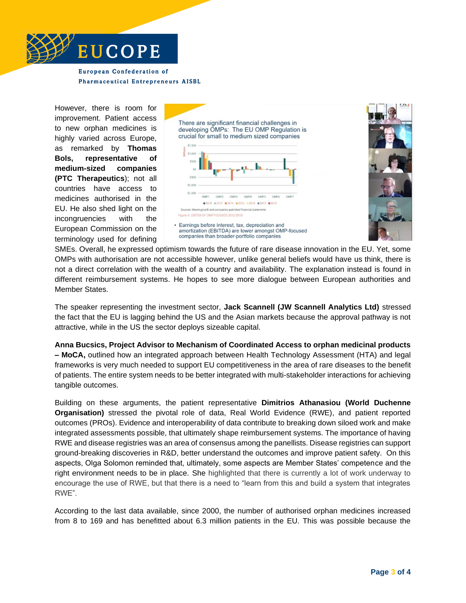

However, there is room for improvement. Patient access to new orphan medicines is highly varied across Europe, as remarked by **Thomas Bols, representative of medium-sized companies (PTC Therapeutics**); not all countries have access to medicines authorised in the EU. He also shed light on the incongruencies with the European Commission on the terminology used for defining



SMEs. Overall, he expressed optimism towards the future of rare disease innovation in the EU. Yet, some OMPs with authorisation are not accessible however, unlike general beliefs would have us think, there is not a direct correlation with the wealth of a country and availability. The explanation instead is found in different reimbursement systems. He hopes to see more dialogue between European authorities and Member States.

The speaker representing the investment sector, **Jack Scannell (JW Scannell Analytics Ltd)** stressed the fact that the EU is lagging behind the US and the Asian markets because the approval pathway is not attractive, while in the US the sector deploys sizeable capital.

**Anna Bucsics, Project Advisor to Mechanism of Coordinated Access to orphan medicinal products – MoCA,** outlined how an integrated approach between Health Technology Assessment (HTA) and legal frameworks is very much needed to support EU competitiveness in the area of rare diseases to the benefit of patients. The entire system needs to be better integrated with multi-stakeholder interactions for achieving tangible outcomes.

Building on these arguments, the patient representative **Dimitrios Athanasiou (World Duchenne Organisation)** stressed the pivotal role of data, Real World Evidence (RWE), and patient reported outcomes (PROs). Evidence and interoperability of data contribute to breaking down siloed work and make integrated assessments possible, that ultimately shape reimbursement systems. The importance of having RWE and disease registries was an area of consensus among the panellists. Disease registries can support ground-breaking discoveries in R&D, better understand the outcomes and improve patient safety. On this aspects, Olga Solomon reminded that, ultimately, some aspects are Member States' competence and the right environment needs to be in place. She highlighted that there is currently a lot of work underway to encourage the use of RWE, but that there is a need to "learn from this and build a system that integrates RWE".

According to the last data available, since 2000, the number of authorised orphan medicines increased from 8 to 169 and has benefitted about 6.3 million patients in the EU. This was possible because the